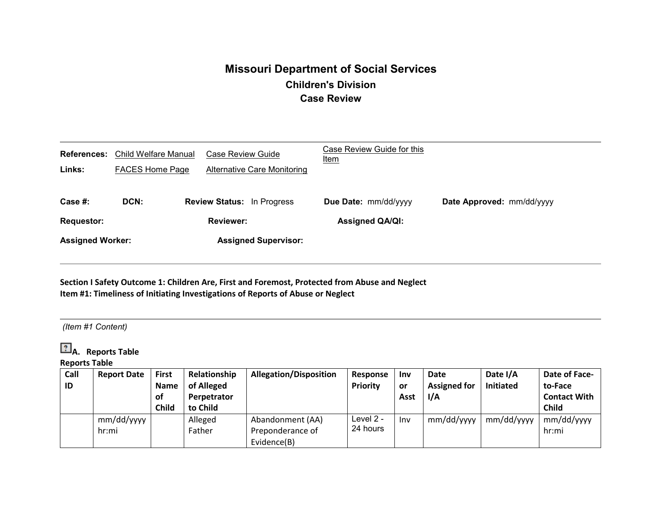# **Missouri Department of Social Services Children's Division Case Review**

| <b>References:</b><br>Links: | Child Welfare Manual<br><b>FACES Home Page</b>                |  | Case Review Guide<br><b>Alternative Care Monitoring</b> | Case Review Guide for this<br><u>Item</u>      |                           |  |
|------------------------------|---------------------------------------------------------------|--|---------------------------------------------------------|------------------------------------------------|---------------------------|--|
| Case #:<br><b>Requestor:</b> | DCN:<br><b>Review Status:</b> In Progress<br><b>Reviewer:</b> |  |                                                         | Due Date: mm/dd/yyyy<br><b>Assigned QA/QI:</b> | Date Approved: mm/dd/yyyy |  |
| <b>Assigned Worker:</b>      |                                                               |  | <b>Assigned Supervisor:</b>                             |                                                |                           |  |

**Section I Safety Outcome 1: Children Are, First and Foremost, Protected from Abuse and Neglect Item #1: Timeliness of Initiating Investigations of Reports of Abuse or Neglect**

## *(Item #1 Content)*

**P.** A. Reports Table

**Reports Table**

| Call | <b>Report Date</b> | <b>First</b> | Relationship | <b>Allegation/Disposition</b> | Response        | <b>Inv</b> | Date                | Date I/A         | Date of Face-       |
|------|--------------------|--------------|--------------|-------------------------------|-----------------|------------|---------------------|------------------|---------------------|
| ID   |                    | <b>Name</b>  | of Alleged   |                               | <b>Priority</b> | <b>or</b>  | <b>Assigned for</b> | <b>Initiated</b> | to-Face             |
|      |                    | 0f           | Perpetrator  |                               |                 | Asst       | I/A                 |                  | <b>Contact With</b> |
|      |                    | Child        | to Child     |                               |                 |            |                     |                  | <b>Child</b>        |
|      | mm/dd/yyyy         |              | Alleged      | Abandonment (AA)              | Level 2 -       | <b>Inv</b> | mm/dd/yyyy          | mm/dd/yyyy       | mm/dd/yyyy          |
|      | hr:mi              |              | Father       | Preponderance of              | 24 hours        |            |                     |                  | hr:mi               |
|      |                    |              |              | Evidence(B)                   |                 |            |                     |                  |                     |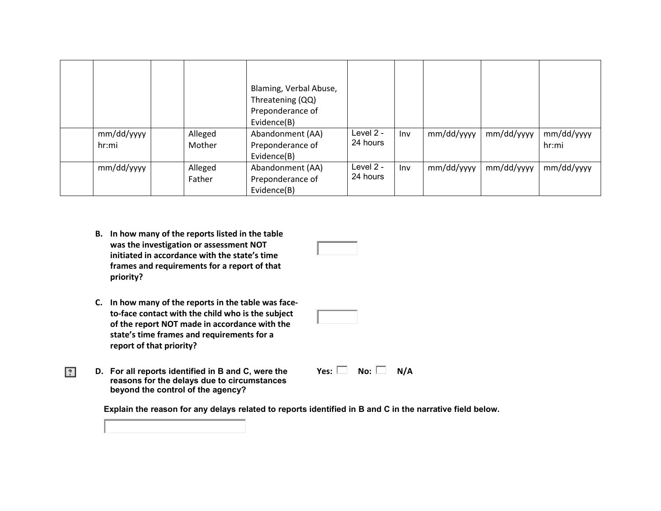|            |         | Blaming, Verbal Abuse,<br>Threatening (QQ)<br>Preponderance of<br>Evidence(B) |           |            |            |            |            |
|------------|---------|-------------------------------------------------------------------------------|-----------|------------|------------|------------|------------|
| mm/dd/yyyy | Alleged | Abandonment (AA)                                                              | Level 2 - | <b>Inv</b> | mm/dd/yyyy | mm/dd/yyyy | mm/dd/yyyy |
| hr:mi      | Mother  | Preponderance of                                                              | 24 hours  |            |            |            | hr:mi      |
|            |         | Evidence(B)                                                                   |           |            |            |            |            |
| mm/dd/yyyy | Alleged | Abandonment (AA)                                                              | Level 2 - | Inv        | mm/dd/yyyy | mm/dd/yyyy | mm/dd/yyyy |
|            | Father  | Preponderance of                                                              | 24 hours  |            |            |            |            |
|            |         | Evidence(B)                                                                   |           |            |            |            |            |

- **B. In how many of the reports listed in the table was the investigation or assessment NOT initiated in accordance with the state's time frames and requirements for a report of that priority?**
- **C. In how many of the reports in the table was faceto-face contact with the child who is the subject of the report NOT made in accordance with the state's time frames and requirements for a report of that priority?**
- **D. For all reports identified in B and C, were the reasons for the delays due to circumstances beyond the control of the agency?**

 $|2\rangle$ 

 $Yes: \Box \quad No: \Box \quad N/A$ 

Explain the reason for any delays related to reports identified in B and C in the narrative field below.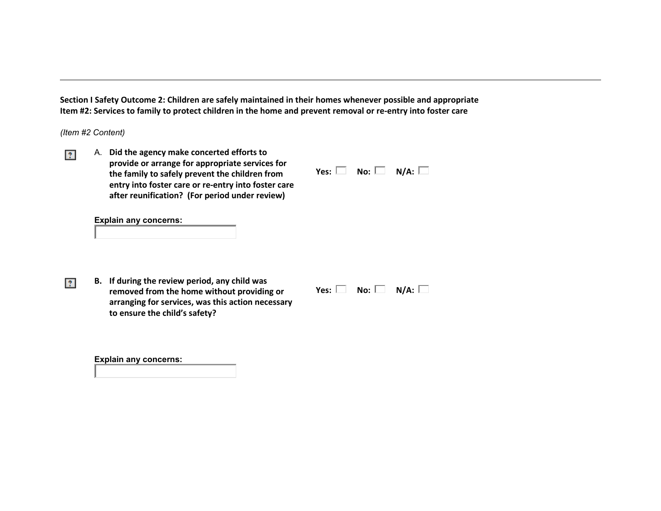**Section I Safety Outcome 2: Children are safely maintained in their homes whenever possible and appropriate Item #2: Services to family to protect children in the home and prevent removal or re-entry into foster care**

*(Item #2 Content)*

 $|2\rangle$ 

 $|2\rangle$ 

A. **Did the agency make concerted efforts to provide or arrange for appropriate services for the family to safely prevent the children from entry into foster care or re-entry into foster care after reunification? (For period under review)**

| Yes: | No: | N/A: |  |
|------|-----|------|--|

**Explain any concerns:** 

**B. If during the review period, any child was removed from the home without providing or arranging for services, was this action necessary to ensure the child's safety?**

| No: $\mathbb I$<br>Yes: | N/A: |
|-------------------------|------|
|-------------------------|------|

**Explain any concerns:**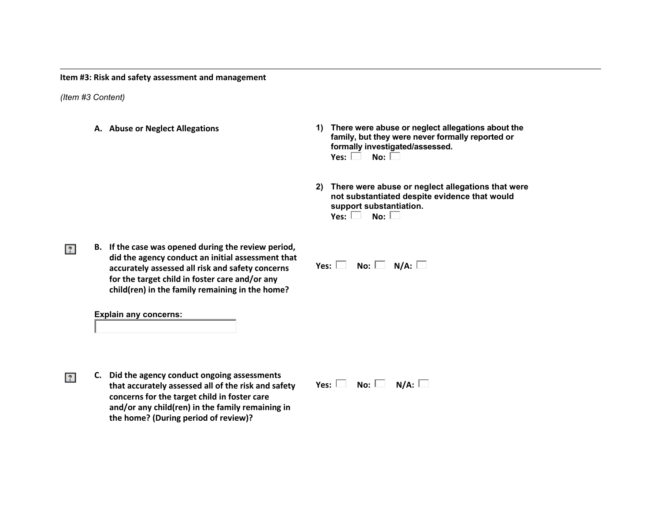**Item #3: Risk and safety assessment and management**

*(Item #3 Content)*

 $|2\rangle$ 

- 
- **A. Abuse or Neglect Allegations 1) There were abuse or neglect allegations about the family, but they were never formally reported or formally investigated/assessed. Yes:**  $\Box$  **No:**  $\Box$ 
	- **2) There were abuse or neglect allegations that were not substantiated despite evidence that would support substantiation. Yes:**  $\Box$  **No:**  $\Box$
- **B. If the case was opened during the review period, did the agency conduct an initial assessment that accurately assessed all risk and safety concerns for the target child in foster care and/or any child(ren) in the family remaining in the home?**

**Explain any concerns:** 

**C. Did the agency conduct ongoing assessments**   $|2\rangle$ **that accurately assessed all of the risk and safety concerns for the target child in foster care and/or any child(ren) in the family remaining in the home? (During period of review)?**

 $Yes: \Box \quad No: \Box \quad N/A: \Box$ 

 $Yes: \Box \quad No: \Box \quad N/A: \Box$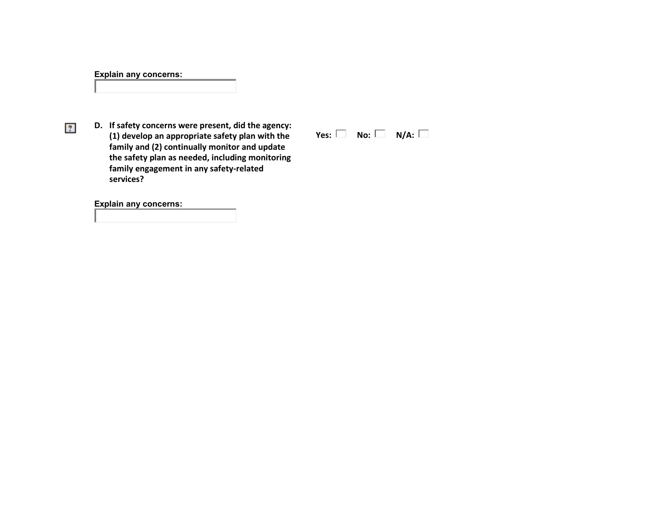## **Explain any concerns:**

 $|2\rangle$ 

**D. If safety concerns were present, did the agency: (1) develop an appropriate safety plan with the family and (2) continually monitor and update the safety plan as needed, including monitoring family engagement in any safety-related services?**

 $Yes: \Box \quad No: \Box \quad N/A: \Box$ 

**Explain any concerns:**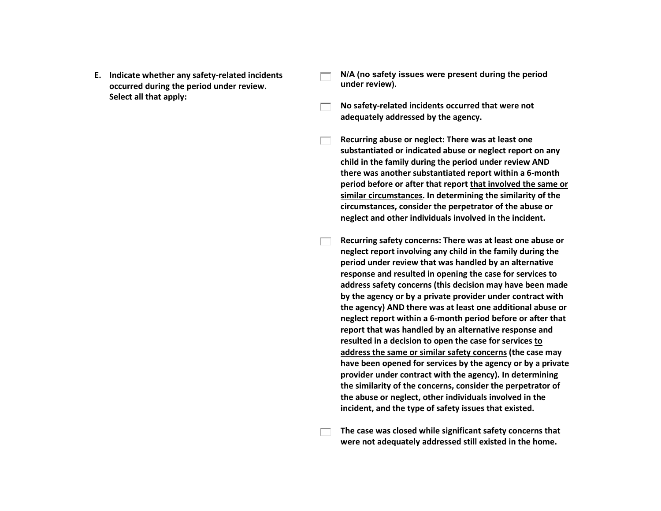- **E. Indicate whether any safety-related incidents occurred during the period under review. Select all that apply:**
- **N/A (no safety issues were present during the period under review).**
- **No safety-related incidents occurred that were not**   $\Box$ **adequately addressed by the agency.**
- **Recurring abuse or neglect: There was at least one**   $\Box$ **substantiated or indicated abuse or neglect report on any child in the family during the period under review AND there was another substantiated report within a 6-month period before or after that report that involved the same or similar circumstances. In determining the similarity of the circumstances, consider the perpetrator of the abuse or neglect and other individuals involved in the incident.**
	- **Recurring safety concerns: There was at least one abuse or neglect report involving any child in the family during the period under review that was handled by an alternative response and resulted in opening the case for services to address safety concerns (this decision may have been made by the agency or by a private provider under contract with the agency) AND there was at least one additional abuse or neglect report within a 6-month period before or after that report that was handled by an alternative response and resulted in a decision to open the case for services to address the same or similar safety concerns (the case may have been opened for services by the agency or by a private provider under contract with the agency). In determining the similarity of the concerns, consider the perpetrator of the abuse or neglect, other individuals involved in the incident, and the type of safety issues that existed.**
- **The case was closed while significant safety concerns that**   $\Box$ **were not adequately addressed still existed in the home.**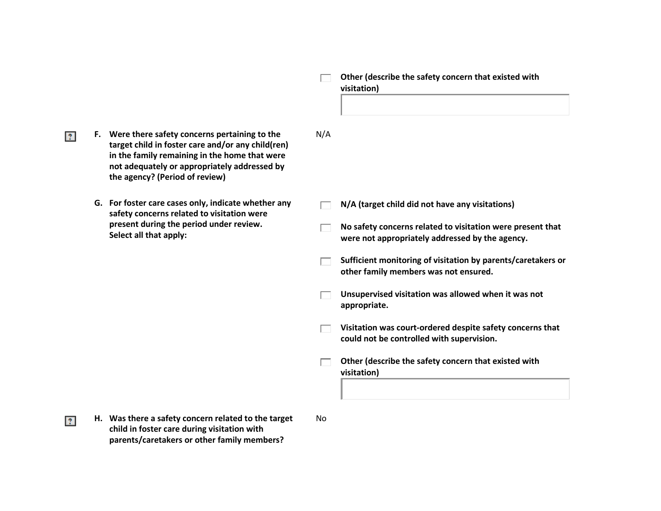#### **Other (describe the safety concern that existed with**   $\Box$ **visitation)**

**F. Were there safety concerns pertaining to the target child in foster care and/or any child(ren) in the family remaining in the home that were not adequately or appropriately addressed by the agency? (Period of review)**

 $|2\rangle$ 

 $|2\rangle$ 

**G. For foster care cases only, indicate whether any safety concerns related to visitation were present during the period under review. Select all that apply:**

**N/A (target child did not have any visitations)**

**No safety concerns related to visitation were present that**   $\Box$ **were not appropriately addressed by the agency.**

**Sufficient monitoring of visitation by parents/caretakers or**   $\Box$ **other family members was not ensured.** 

 $\Box$ **Unsupervised visitation was allowed when it was not appropriate.**

**Visitation was court-ordered despite safety concerns that**   $\Box$ **could not be controlled with supervision.**

**Other (describe the safety concern that existed with**   $\Box$ **visitation)**

**H. Was there a safety concern related to the target child in foster care during visitation with parents/caretakers or other family members?**

No

N/A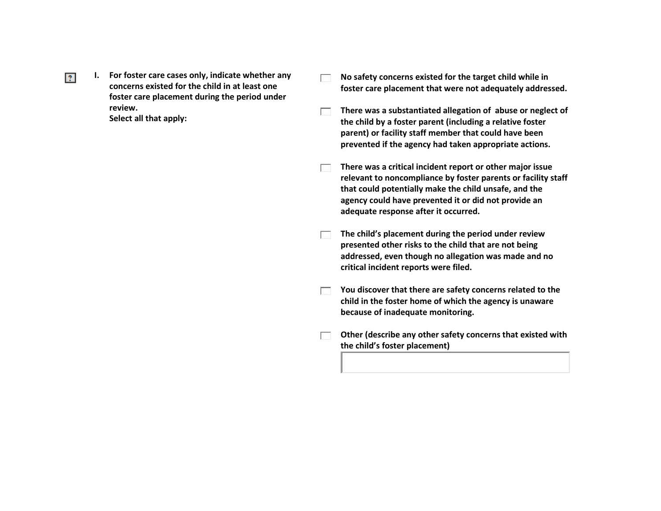$|2\rangle$ 

**I. For foster care cases only, indicate whether any concerns existed for the child in at least one foster care placement during the period under review. Select all that apply:**

- **No safety concerns existed for the target child while in foster care placement that were not adequately addressed.**
- **There was a substantiated allegation of abuse or neglect of**   $\Box$ **the child by a foster parent (including a relative foster parent) or facility staff member that could have been prevented if the agency had taken appropriate actions.**
- **There was a critical incident report or other major issue relevant to noncompliance by foster parents or facility staff that could potentially make the child unsafe, and the agency could have prevented it or did not provide an adequate response after it occurred.**
- **The child's placement during the period under review**   $\Box$ **presented other risks to the child that are not being addressed, even though no allegation was made and no critical incident reports were filed.**
- **The Strutus** You discover that there are safety concerns related to the **child in the foster home of which the agency is unaware because of inadequate monitoring.**
- **Other (describe any other safety concerns that existed with**   $\Box$ **the child's foster placement)**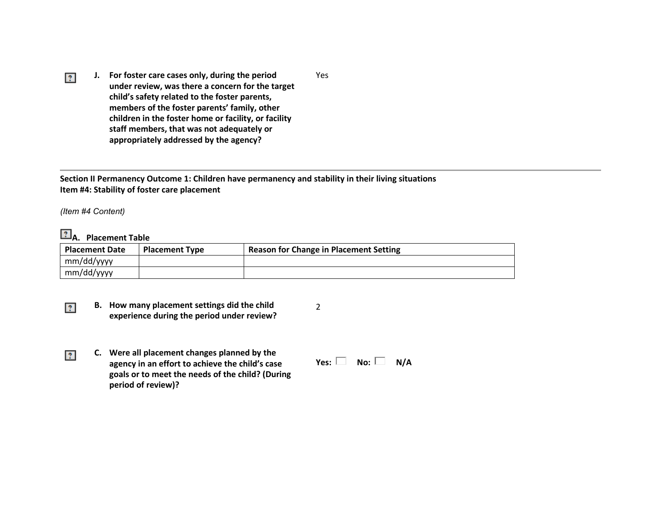**J. For foster care cases only, during the period**  Yes  $\mathbb{R}$ **under review, was there a concern for the target child's safety related to the foster parents, members of the foster parents' family, other children in the foster home or facility, or facility staff members, that was not adequately or appropriately addressed by the agency?**

**Section II Permanency Outcome 1: Children have permanency and stability in their living situations Item #4: Stability of foster care placement**

*(Item #4 Content)*

 $|2\rangle$ 

 $|2\rangle$ 

# **A. Placement Table**

| <b>Placement Date</b><br><b>Placement Type</b> |  | <b>Reason for Change in Placement Setting</b> |  |  |
|------------------------------------------------|--|-----------------------------------------------|--|--|
| mm/dd/yyyy                                     |  |                                               |  |  |
| mm/dd/yyyy                                     |  |                                               |  |  |

2

- **B. How many placement settings did the child experience during the period under review?**
- **C. Were all placement changes planned by the agency in an effort to achieve the child's case goals or to meet the needs of the child? (During period of review)?**  $Yes: \Box \quad No: \Box \quad N/A$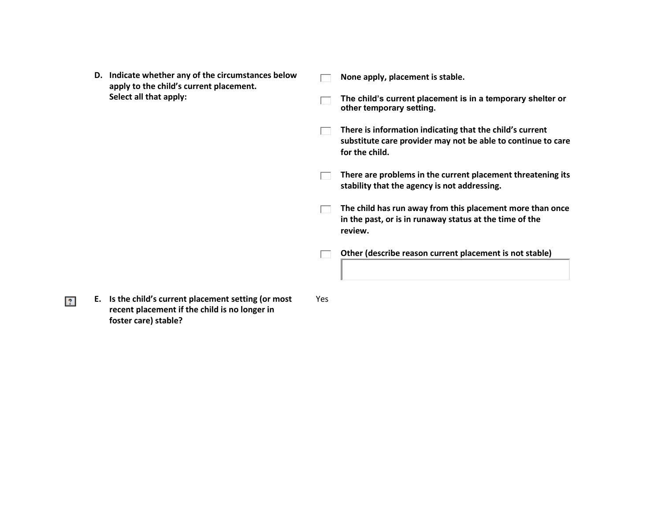- **D. Indicate whether any of the circumstances below**   $\Box$ **apply to the child's current placement. Select all that apply:**  $\Box$ 
	- **None apply, placement is stable.**
	- **The child's current placement is in a temporary shelter or other temporary setting.**
	- **There is information indicating that the child's current**   $\Box$ **substitute care provider may not be able to continue to care for the child.**
	- **There are problems in the current placement threatening its stability that the agency is not addressing.**
	- The child has run away from this placement more than once **in the past, or is in runaway status at the time of the review.**
	- **Other (describe reason current placement is not stable)**  $\Box$
- **E. Is the child's current placement setting (or most recent placement if the child is no longer in foster care) stable?**

 $|2\rangle$ 

Yes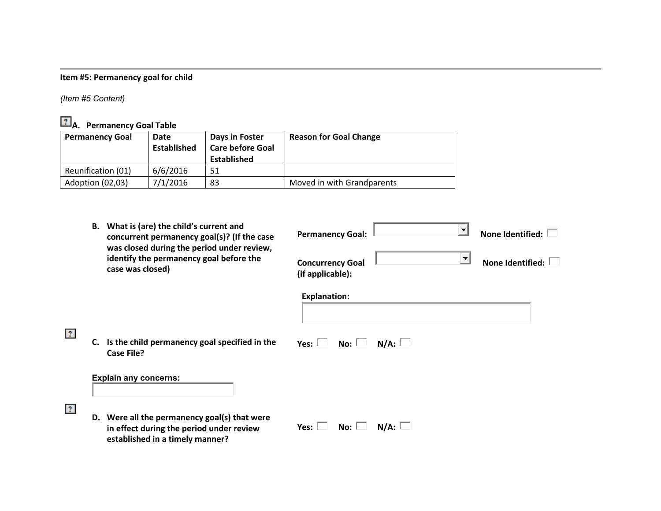# **Item #5: Permanency goal for child**

*(Item #5 Content)*

**P.** A. Permanency Goal Table

| <b>Permanency Goal</b> | Date<br>Established | Days in Foster<br><b>Care before Goal</b><br>Established | <b>Reason for Goal Change</b> |
|------------------------|---------------------|----------------------------------------------------------|-------------------------------|
| Reunification (01)     | 6/6/2016            | 51                                                       |                               |
| Adoption (02,03)       | 7/1/2016            | 83                                                       | Moved in with Grandparents    |

|             | What is (are) the child's current and<br>В.<br>concurrent permanency goal(s)? (If the case                                  | None Identified:<br><b>Permanency Goal:</b>                                                      |
|-------------|-----------------------------------------------------------------------------------------------------------------------------|--------------------------------------------------------------------------------------------------|
|             | was closed during the period under review,<br>identify the permanency goal before the<br>case was closed)                   | $\left  \cdot \right $<br><b>None Identified:</b><br><b>Concurrency Goal</b><br>(if applicable): |
|             |                                                                                                                             | <b>Explanation:</b>                                                                              |
| $ 2\rangle$ | Is the child permanency goal specified in the<br>C.<br><b>Case File?</b>                                                    | N/A:<br>Yes: $\Box$<br>No: $\Box$                                                                |
|             | <b>Explain any concerns:</b>                                                                                                |                                                                                                  |
| $ 2\rangle$ | D. Were all the permanency goal(s) that were<br>in effect during the period under review<br>established in a timely manner? | N/A:<br>Yes: $\Box$<br>No: $\Box$                                                                |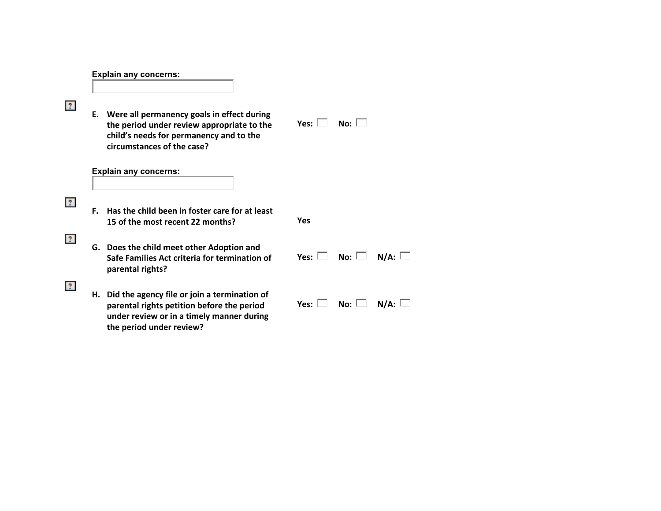## **Explain any concerns:**

| $\mathbb{R}$ |    | E. Were all permanency goals in effect during<br>the period under review appropriate to the<br>child's needs for permanency and to the<br>circumstances of the case?   | No: $\Box$<br>Yes: $\Box$      |  |
|--------------|----|------------------------------------------------------------------------------------------------------------------------------------------------------------------------|--------------------------------|--|
|              |    | <b>Explain any concerns:</b>                                                                                                                                           |                                |  |
| $ 2\rangle$  | F. | Has the child been in foster care for at least<br>15 of the most recent 22 months?                                                                                     | Yes                            |  |
| 2            |    | G. Does the child meet other Adoption and<br>Safe Families Act criteria for termination of<br>parental rights?                                                         | Yes: $\Box$ No: $\Box$<br>N/A: |  |
| ?            |    | H. Did the agency file or join a termination of<br>parental rights petition before the period<br>under review or in a timely manner during<br>the period under review? | Yes: $\Box$ No: $\Box$<br>N/A: |  |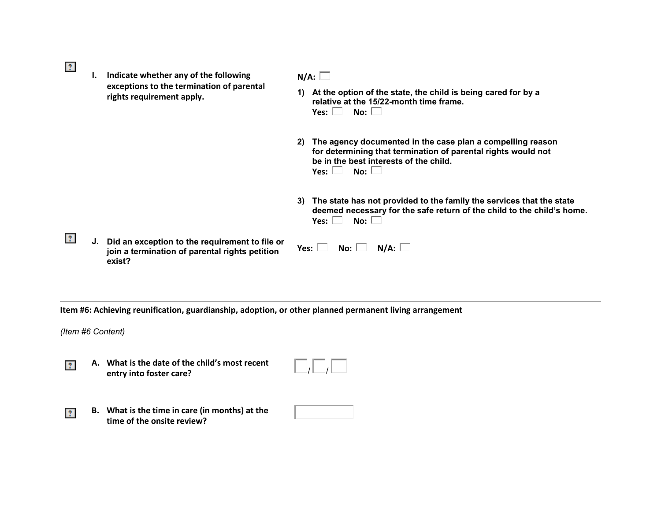- $|2\rangle$
- **I. Indicate whether any of the following exceptions to the termination of parental rights requirement apply.**

# **N/A:**

- **1) At the option of the state, the child is being cared for by a relative at the 15/22-month time frame.**   $Y$ es:  $\Box$  No:  $\Box$
- **2) The agency documented in the case plan a compelling reason for determining that termination of parental rights would not be in the best interests of the child.**  $Yes:  $\Box$  No:  $\Box$$
- **3) The state has not provided to the family the services that the state deemed necessary for the safe return of the child to the child's home.**  $Yes: \Box \quad No: \Box$
- $|2\rangle$ **J. Did an exception to the requirement to file or join a termination of parental rights petition exist?**

| No: | N/A: |  |
|-----|------|--|
|     |      |  |

**Item #6: Achieving reunification, guardianship, adoption, or other planned permanent living arrangement**

*(Item #6 Content)*

 $|2\rangle$ 

**A. What is the date of the child's most recent**   $|2|$ **entry into foster care?** 

**B. What is the time in care (in months) at the time of the onsite review?**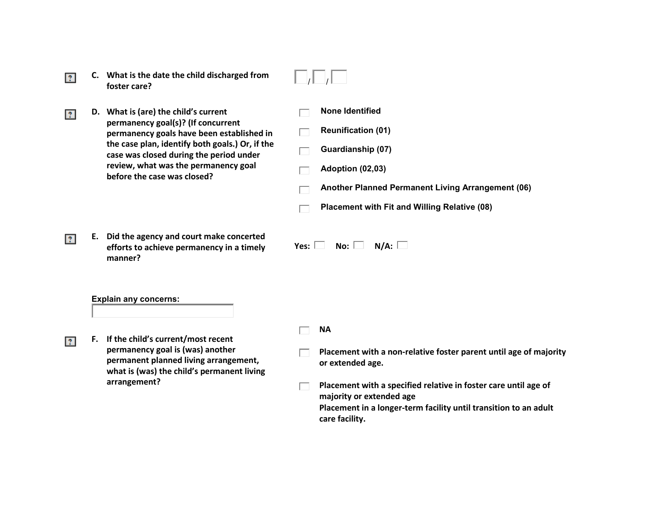- What is the date the child discharged from  $\Box/\Box/\Box$ **C. What is the date the child discharged from**   $|?|$ 
	- **D. What is (are) the child's current permanency goal(s)? (If concurrent permanency goals have been established in the case plan, identify both goals.) Or, if the case was closed during the period under review, what was the permanency goal before the case was closed?**

**E. Did the agency and court make concerted efforts to achieve permanency in a timely manner?** 

- - **None Identified**
- **Reunification (01)** ┌
- **Guardianship (07)** ┌
- **Adoption (02,03)**
- **Another Planned Permanent Living Arrangement (06)**
- **Placement with Fit and Willing Relative (08)** ┍
- $Yes: \Box \quad No: \Box \quad N/A: \Box$

### **Explain any concerns:**

 $|2|$ 

 $\overline{?}$ 

 $|2|$ 

- **F. If the child's current/most recent permanency goal is (was) another permanent planned living arrangement, what is (was) the child's permanent living arrangement?**
- **NA**
- **Placement with a non-relative foster parent until age of majority or extended age.**
- **Placement with a specified relative in foster care until age of**   $\Box$ **majority or extended age Placement in a longer-term facility until transition to an adult care facility.**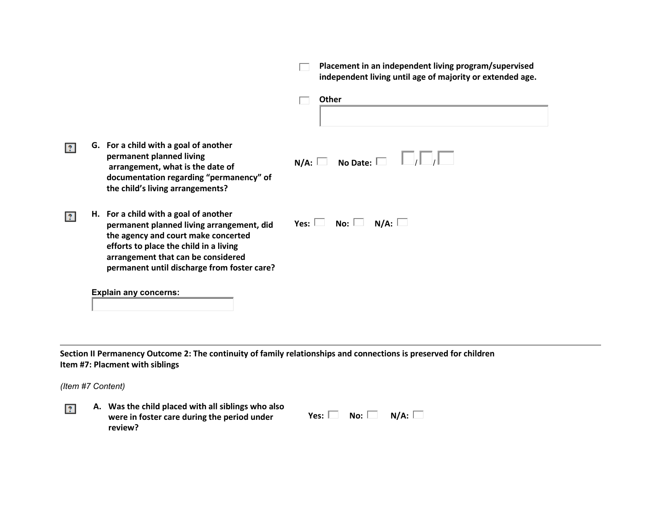|                |                                                                                                                                                                                                                                                          | Placement in an independent living program/supervised<br>independent living until age of majority or extended age. |
|----------------|----------------------------------------------------------------------------------------------------------------------------------------------------------------------------------------------------------------------------------------------------------|--------------------------------------------------------------------------------------------------------------------|
|                |                                                                                                                                                                                                                                                          | Other                                                                                                              |
| $\overline{?}$ | G. For a child with a goal of another<br>permanent planned living<br>arrangement, what is the date of<br>documentation regarding "permanency" of<br>the child's living arrangements?                                                                     | $N/A:$ No Date: $\square$                                                                                          |
| $\overline{?}$ | H. For a child with a goal of another<br>permanent planned living arrangement, did<br>the agency and court make concerted<br>efforts to place the child in a living<br>arrangement that can be considered<br>permanent until discharge from foster care? | Yes: $\Box$<br>N/A:<br>No: $\Box$                                                                                  |
|                | <b>Explain any concerns:</b>                                                                                                                                                                                                                             |                                                                                                                    |

**Section II Permanency Outcome 2: The continuity of family relationships and connections is preserved for children Item #7: Placment with siblings**

*(Item #7 Content)*

 $\overline{?}$ 

**A. Was the child placed with all siblings who also were in foster care during the period under review?**

| Yes: $\mathsf{\mathsf{L}}$ | No: l | N/A: |
|----------------------------|-------|------|
|                            |       |      |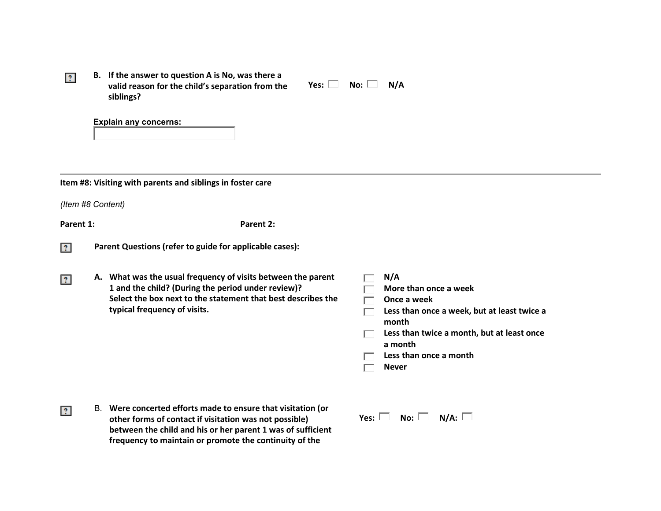|  | B. If the answer to question A is No, was there a |
|--|---------------------------------------------------|
|  | valid reason for the child's separation from the  |
|  | siblings?                                         |

| Yes: l |  | No: |  | N/A |
|--------|--|-----|--|-----|
|--------|--|-----|--|-----|

**Explain any concerns:** 

**Item #8: Visiting with parents and siblings in foster care**

*(Item #8 Content)*

 $|2\rangle$ 

Parent 1: Parent 2:

- $|2\rangle$ **Parent Questions (refer to guide for applicable cases):**
- **A. What was the usual frequency of visits between the parent**   $2^{\circ}$ **1 and the child? (During the period under review)? Select the box next to the statement that best describes the typical frequency of visits.**

| N/A                                                   |
|-------------------------------------------------------|
| More than once a week                                 |
| Once a week                                           |
| Less than once a week, but at least twice a<br>month  |
| Less than twice a month, but at least once<br>a month |
| Less than once a month                                |
| <b>Never</b>                                          |
|                                                       |
|                                                       |

B. **Were concerted efforts made to ensure that visitation (or**   $|2|$ **other forms of contact if visitation was not possible) between the child and his or her parent 1 was of sufficient frequency to maintain or promote the continuity of the** 

 $Yes: \Box \quad No: \Box \quad N/A: \Box$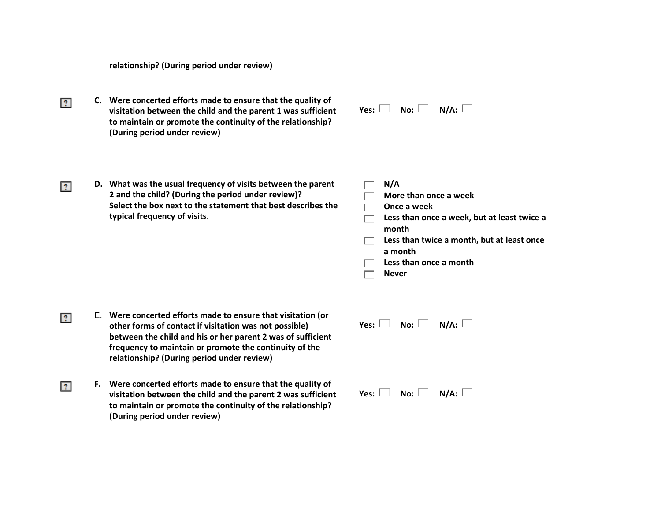**relationship? (During period under review)**

**C. Were concerted efforts made to ensure that the quality of**   $|2\rangle$ **visitation between the child and the parent 1 was sufficient to maintain or promote the continuity of the relationship? (During period under review)**

| Yes: | No: | $N/A$ : |
|------|-----|---------|
|------|-----|---------|

**D. What was the usual frequency of visits between the parent 2 and the child? (During the period under review)? Select the box next to the statement that best describes the typical frequency of visits.**

 $|2\rangle$ 

 $2<sup>1</sup>$ 

 $|2\rangle$ 

|      | N/A                                                   |
|------|-------------------------------------------------------|
|      | More than once a week                                 |
|      | Once a week                                           |
|      | Less than once a week, but at least twice a<br>month  |
|      | Less than twice a month, but at least once<br>a month |
|      | Less than once a month                                |
|      | <b>Never</b>                                          |
|      |                                                       |
| Yes: | $N/A$ :<br>No: l<br>$\sim$                            |

- E. **Were concerted efforts made to ensure that visitation (or other forms of contact if visitation was not possible) between the child and his or her parent 2 was of sufficient frequency to maintain or promote the continuity of the relationship? (During period under review)**
- **F. Were concerted efforts made to ensure that the quality of visitation between the child and the parent 2 was sufficient to maintain or promote the continuity of the relationship? (During period under review)**
- $Yes: \Box \quad No: \Box \quad N/A: \Box$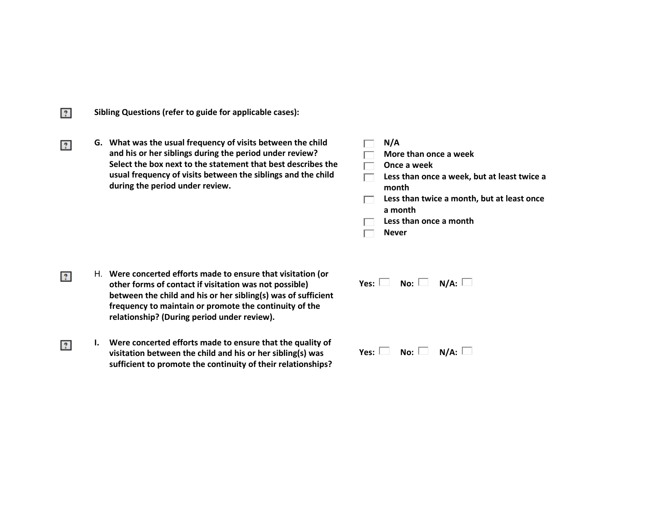**Sibling Questions (refer to guide for applicable cases):**

 $|2|$ 

 $|2\rangle$ 

**G. What was the usual frequency of visits between the child and his or her siblings during the period under review? Select the box next to the statement that best describes the usual frequency of visits between the siblings and the child during the period under review.**

| N/A                                                   |
|-------------------------------------------------------|
| More than once a week                                 |
| Once a week                                           |
| Less than once a week, but at least twice a<br>month  |
| Less than twice a month, but at least once<br>a month |
| Less than once a month                                |
| <b>Never</b>                                          |
|                                                       |

- H. **Were concerted efforts made to ensure that visitation (or**   $|2\rangle$ **other forms of contact if visitation was not possible) between the child and his or her sibling(s) was of sufficient frequency to maintain or promote the continuity of the relationship? (During period under review).**
- **I. Were concerted efforts made to ensure that the quality of**   $|2\rangle$ **visitation between the child and his or her sibling(s) was sufficient to promote the continuity of their relationships?**

| Yes: $\Box$ No: $\Box$ N/A: $\Box$ |  |
|------------------------------------|--|
|                                    |  |
|                                    |  |
| Yes: $\Box$ No: $\Box$ N/A: $\Box$ |  |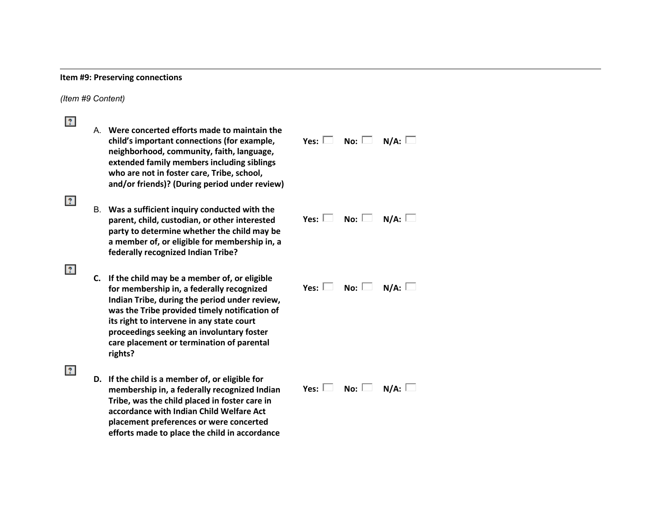## **Item #9: Preserving connections**

*(Item #9 Content)*

| $ 2\rangle$  |                                                                                                                                                                                                                                                                                                                                                  |                                    |             |
|--------------|--------------------------------------------------------------------------------------------------------------------------------------------------------------------------------------------------------------------------------------------------------------------------------------------------------------------------------------------------|------------------------------------|-------------|
|              | A. Were concerted efforts made to maintain the<br>child's important connections (for example,<br>neighborhood, community, faith, language,<br>extended family members including siblings<br>who are not in foster care, Tribe, school,<br>and/or friends)? (During period under review)                                                          | Yes: $\Box$ No: $\Box$             | N/A:        |
| $\mathbf{?}$ | B. Was a sufficient inquiry conducted with the<br>parent, child, custodian, or other interested<br>party to determine whether the child may be<br>a member of, or eligible for membership in, a<br>federally recognized Indian Tribe?                                                                                                            | Yes: $\square$ No: $\square$       | N/A: $\Box$ |
| $\mathbf{?}$ | C. If the child may be a member of, or eligible<br>for membership in, a federally recognized<br>Indian Tribe, during the period under review,<br>was the Tribe provided timely notification of<br>its right to intervene in any state court<br>proceedings seeking an involuntary foster<br>care placement or termination of parental<br>rights? | Yes: $\Box$ No: $\Box$ N/A: $\Box$ |             |
| $ 2\rangle$  | D. If the child is a member of, or eligible for<br>membership in, a federally recognized Indian<br>Tribe, was the child placed in foster care in<br>accordance with Indian Child Welfare Act<br>placement preferences or were concerted<br>efforts made to place the child in accordance                                                         | Yes: $\Box$ No: $\Box$             | N/A: $\Box$ |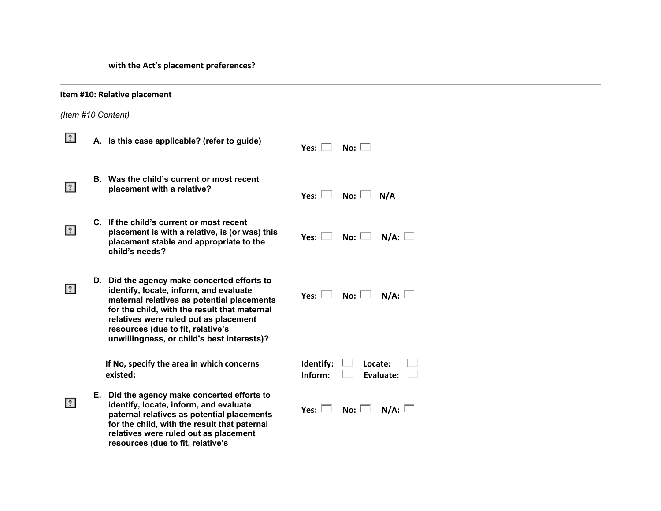**with the Act's placement preferences?**

|                | Item #10: Relative placement |                                                                                                                                                                                                                                                                                                                 |                                                     |  |
|----------------|------------------------------|-----------------------------------------------------------------------------------------------------------------------------------------------------------------------------------------------------------------------------------------------------------------------------------------------------------------|-----------------------------------------------------|--|
|                | (Item #10 Content)           |                                                                                                                                                                                                                                                                                                                 |                                                     |  |
| $\mathcal{L}$  |                              | A. Is this case applicable? (refer to guide)                                                                                                                                                                                                                                                                    | No: $\square$<br>Yes: $\Box$                        |  |
| $\overline{?}$ |                              | B. Was the child's current or most recent<br>placement with a relative?                                                                                                                                                                                                                                         | Yes: $\Box$<br>No: $\Box$<br>N/A                    |  |
| $\mathbf{?}$   |                              | C. If the child's current or most recent<br>placement is with a relative, is (or was) this<br>placement stable and appropriate to the<br>child's needs?                                                                                                                                                         | N/A:<br>Yes: $\Box$<br>No: $\Box$                   |  |
| $\mathbf{?}$   |                              | D. Did the agency make concerted efforts to<br>identify, locate, inform, and evaluate<br>maternal relatives as potential placements<br>for the child, with the result that maternal<br>relatives were ruled out as placement<br>resources (due to fit, relative's<br>unwillingness, or child's best interests)? | No: $\Box$ N/A: $\Box$<br>Yes: $\Box$               |  |
|                |                              | If No, specify the area in which concerns<br>existed:                                                                                                                                                                                                                                                           | Identify:<br>Locate:<br>Evaluate: $\Box$<br>Inform: |  |
| $\overline{?}$ |                              | E. Did the agency make concerted efforts to<br>identify, locate, inform, and evaluate<br>paternal relatives as potential placements<br>for the child, with the result that paternal<br>relatives were ruled out as placement<br>resources (due to fit, relative's                                               | Yes: $\Box$<br>No: $\Box$ N/A: $\Box$               |  |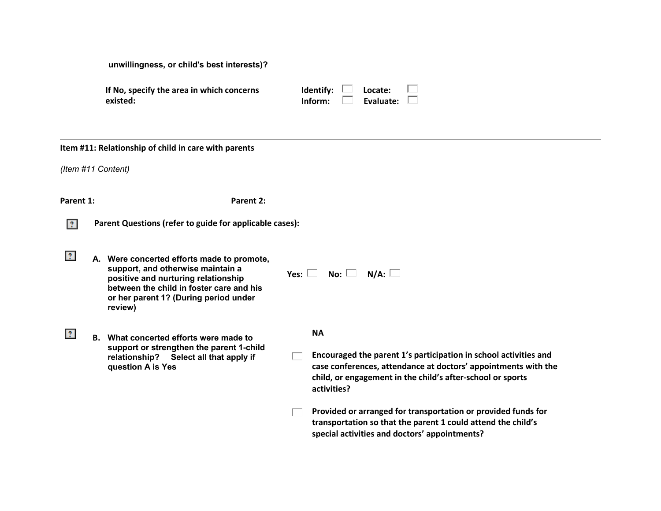| If No, specify the area in which concerns |  |
|-------------------------------------------|--|
| existed:                                  |  |

| Identify: | Locate:   |  |
|-----------|-----------|--|
| Inform:   | Evaluate: |  |

### **Item #11: Relationship of child in care with parents**

*(Item #11 Content)*

**Parent 1: Parent 2:**

- **Parent Questions (refer to guide for applicable cases):**
- $|2\rangle$ **A. Were concerted efforts made to promote, support, and otherwise maintain a positive and nurturing relationship between the child in foster care and his or her parent 1? (During period under review)**
- $|2\rangle$ **B. What concerted efforts were made to support or strengthen the parent 1-child relationship? Select all that apply if question A is Yes**

| Yes: | No: l | N/A: |
|------|-------|------|
|------|-------|------|

#### **NA**

- **Encouraged the parent 1's participation in school activities and**   $\Box$ **case conferences, attendance at doctors' appointments with the child, or engagement in the child's after-school or sports activities?**
- **Provided or arranged for transportation or provided funds for**   $\Box$ **transportation so that the parent 1 could attend the child's special activities and doctors' appointments?**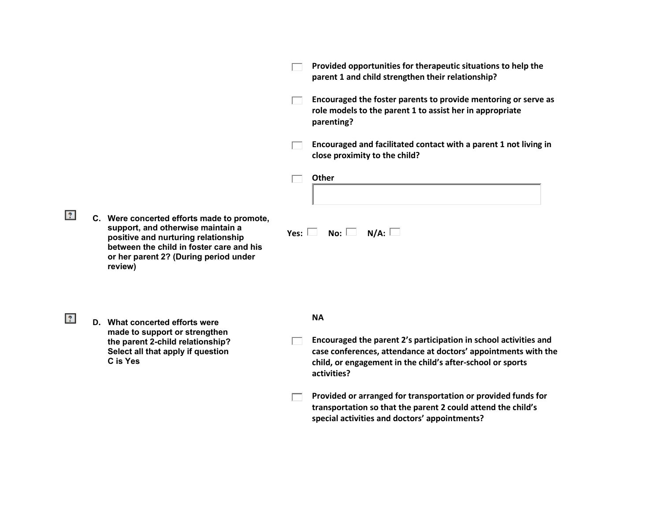**Provided opportunities for therapeutic situations to help the**   $\Box$ **parent 1 and child strengthen their relationship? Encouraged the foster parents to provide mentoring or serve as**   $\Box$ **role models to the parent 1 to assist her in appropriate parenting? Encouraged and facilitated contact with a parent 1 not living in close proximity to the child? Other**  $\Box$  $|2\rangle$ **C. Were concerted efforts made to promote, support, and otherwise maintain a**   $Yes: \Box \quad No: \Box \quad N/A: \Box$ **positive and nurturing relationship between the child in foster care and his or her parent 2? (During period under review)**  $|2\rangle$ **NA D. What concerted efforts were made to support or strengthen Encouraged the parent 2's participation in school activities and the parent 2-child relationship?**  $\Box$ **case conferences, attendance at doctors' appointments with the Select all that apply if question C is Yes child, or engagement in the child's after-school or sports activities? Provided or arranged for transportation or provided funds for**   $\Box$ **transportation so that the parent 2 could attend the child's special activities and doctors' appointments?**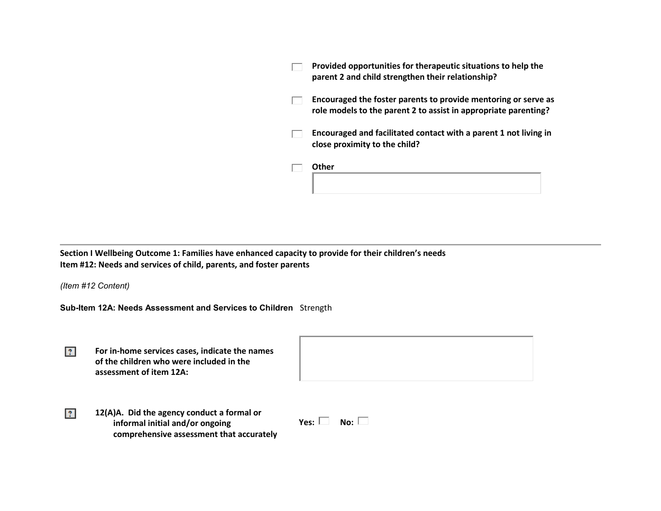| Provided opportunities for therapeutic situations to help the<br>parent 2 and child strengthen their relationship?                |
|-----------------------------------------------------------------------------------------------------------------------------------|
| Encouraged the foster parents to provide mentoring or serve as<br>role models to the parent 2 to assist in appropriate parenting? |
| Encouraged and facilitated contact with a parent 1 not living in<br>close proximity to the child?                                 |
| Other                                                                                                                             |

**Section I Wellbeing Outcome 1: Families have enhanced capacity to provide for their children's needs Item #12: Needs and services of child, parents, and foster parents**

*(Item #12 Content)*

 $|2|$ 

**Sub-Item 12A: Needs Assessment and Services to Children** Strength

| For in-home services cases, indicate the names<br>of the children who were included in the<br>assessment of item 12A: |  |
|-----------------------------------------------------------------------------------------------------------------------|--|
|                                                                                                                       |  |
|                                                                                                                       |  |

**12(A)A. Did the agency conduct a formal or informal initial and/or ongoing comprehensive assessment that accurately** 

| Yes: |  | No: |  |
|------|--|-----|--|
|------|--|-----|--|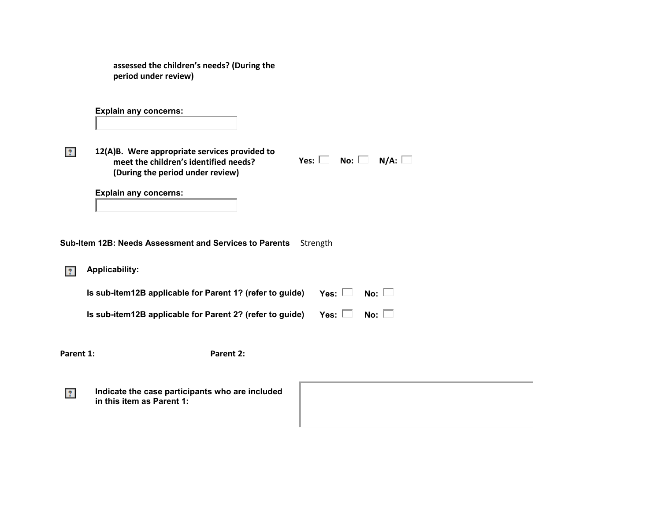| assessed the children's needs? (During the |
|--------------------------------------------|
| period under review)                       |

**Explain any concerns:** 

**12(A)B. Were appropriate services provided to meet the children's identified needs? (During the period under review)** 

 $Yes: \Box \quad No: \Box \quad N/A: \Box$ 

**Explain any concerns:** 

**Sub-Item 12B: Needs Assessment and Services to Parents** Strength

**Applicability:**  $|2\rangle$ 

 $|2\rangle$ 

| Is sub-item12B applicable for Parent 1? (refer to guide) | Yes: $\square$ No: $\square$ |  |
|----------------------------------------------------------|------------------------------|--|
| Is sub-item12B applicable for Parent 2? (refer to guide) | Yes: $\square$ No: $\square$ |  |

Parent 1: Parent 2:

**Indicate the case participants who are included**   $|2\rangle$ **in this item as Parent 1:**

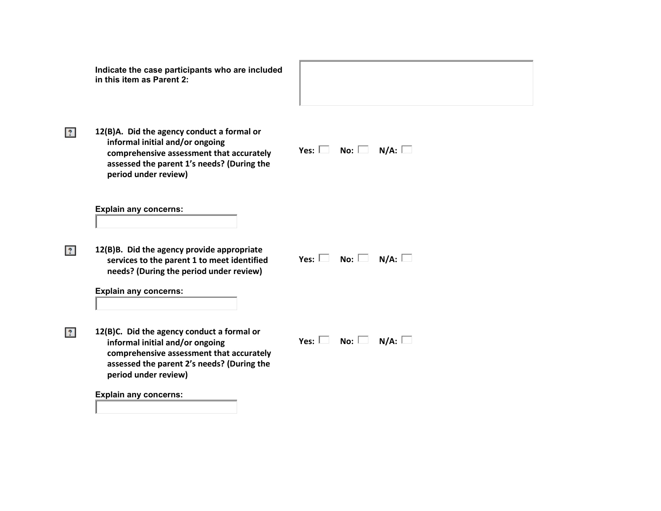|                | Indicate the case participants who are included<br>in this item as Parent 2:                                                                                                                    |                                    |
|----------------|-------------------------------------------------------------------------------------------------------------------------------------------------------------------------------------------------|------------------------------------|
| $\overline{?}$ | 12(B)A. Did the agency conduct a formal or<br>informal initial and/or ongoing<br>comprehensive assessment that accurately<br>assessed the parent 1's needs? (During the<br>period under review) | Yes: $\Box$ No: $\Box$ N/A: $\Box$ |
|                | <b>Explain any concerns:</b>                                                                                                                                                                    |                                    |
| $\overline{?}$ | 12(B)B. Did the agency provide appropriate<br>services to the parent 1 to meet identified<br>needs? (During the period under review)                                                            | Yes: $\Box$ No: $\Box$ N/A: $\Box$ |
|                | <b>Explain any concerns:</b>                                                                                                                                                                    |                                    |
| $ 2\rangle$    | 12(B)C. Did the agency conduct a formal or<br>informal initial and/or ongoing<br>comprehensive assessment that accurately<br>assessed the parent 2's needs? (During the<br>period under review) | Yes: $\Box$ No: $\Box$ N/A: $\Box$ |
|                | <b>Explain any concerns:</b>                                                                                                                                                                    |                                    |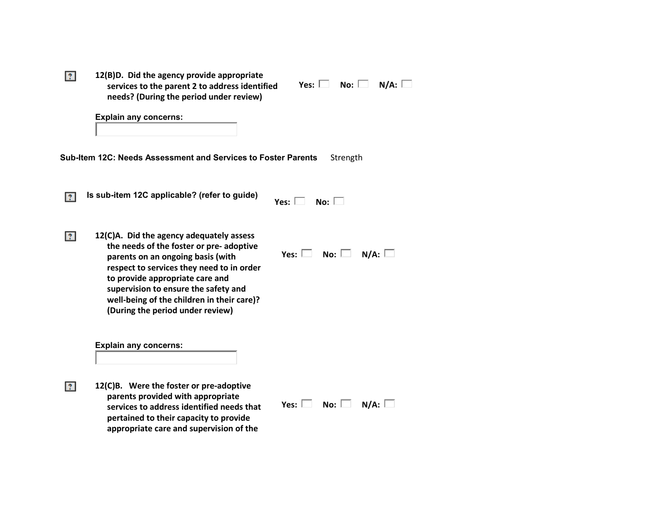| $ 2\rangle$                                    | 12(B)D. Did the agency provide appropriate |  |  |
|------------------------------------------------|--------------------------------------------|--|--|
| services to the parent 2 to address identified |                                            |  |  |
|                                                | needs? (During the period under review)    |  |  |

| Yes: $\mathsf{l}$ | No: | $N/A$ : |  |
|-------------------|-----|---------|--|
|                   |     |         |  |

|  |  | <b>Explain any concerns:</b> |
|--|--|------------------------------|
|--|--|------------------------------|

**Sub-Item 12C: Needs Assessment and Services to Foster Parents** Strength

**Is sub-item 12C applicable? (refer to guide)**  $|2|$ 

|  | No: |  |
|--|-----|--|
|  |     |  |

**12(C)A. Did the agency adequately assess the needs of the foster or pre- adoptive parents on an ongoing basis (with respect to services they need to in order to provide appropriate care and supervision to ensure the safety and well-being of the children in their care)? (During the period under review)**

 $Yes: \Box \quad No: \Box \quad N/A: \Box$ 

**Explain any concerns:** 

 $|2\rangle$ 

 $|2\rangle$ 

**12(C)B. Were the foster or pre-adoptive parents provided with appropriate services to address identified needs that pertained to their capacity to provide appropriate care and supervision of the** 

 $Yes: \Box \quad No: \Box \quad N/A: \Box$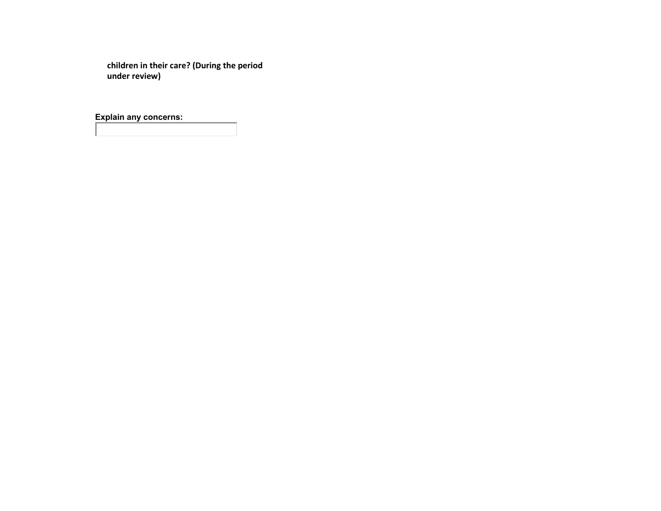**children in their care? (During the period under review)** 

**Explain any concerns:**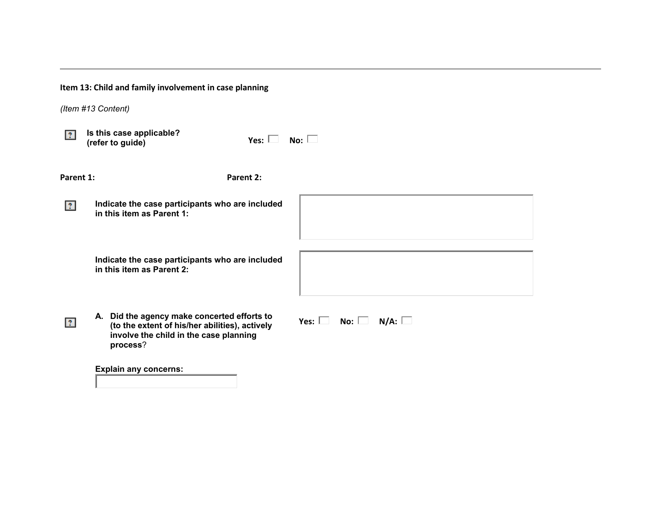|              | Item 13: Child and family involvement in case planning                                                                                              |                                       |
|--------------|-----------------------------------------------------------------------------------------------------------------------------------------------------|---------------------------------------|
|              | (Item #13 Content)                                                                                                                                  |                                       |
| $ 2\rangle$  | Is this case applicable?<br>Yes: $\Box$<br>(refer to guide)                                                                                         | No: $\square$                         |
| Parent 1:    | Parent 2:                                                                                                                                           |                                       |
| $ 2\rangle$  | Indicate the case participants who are included<br>in this item as Parent 1:                                                                        |                                       |
|              | Indicate the case participants who are included<br>in this item as Parent 2:                                                                        |                                       |
| $\mathbf{r}$ | A. Did the agency make concerted efforts to<br>(to the extent of his/her abilities), actively<br>involve the child in the case planning<br>process? | No: $\Box$ N/A: $\Box$<br>Yes: $\Box$ |
|              | <b>Explain any concerns:</b>                                                                                                                        |                                       |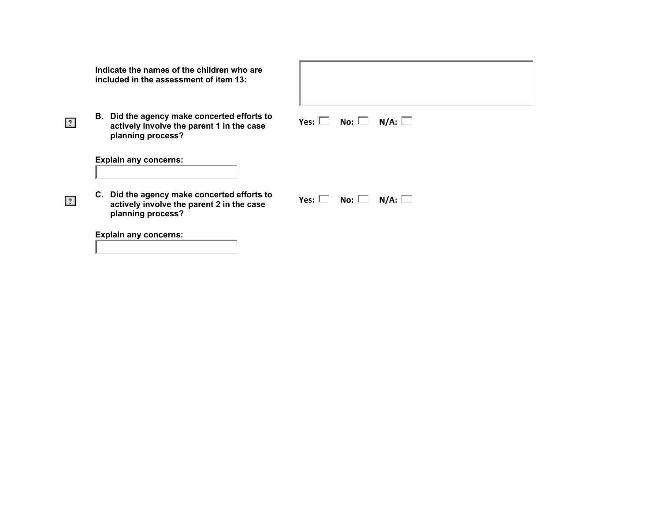| Indicate the names of the children who are |
|--------------------------------------------|
| included in the assessment of item 13:     |

**B. Did the agency make concerted efforts to actively involve the parent 1 in the case planning process?** 

| Yes: $L$ | No: $\mathbb I$ | N/A: |
|----------|-----------------|------|
|----------|-----------------|------|

**Explain any concerns:** 

 $\overline{?}$ 

 $\overline{?}$ 

| C. Did the agency make concerted efforts to |
|---------------------------------------------|
| actively involve the parent 2 in the case   |
| planning process?                           |

| No: | N/A: |
|-----|------|

**Explain any concerns:**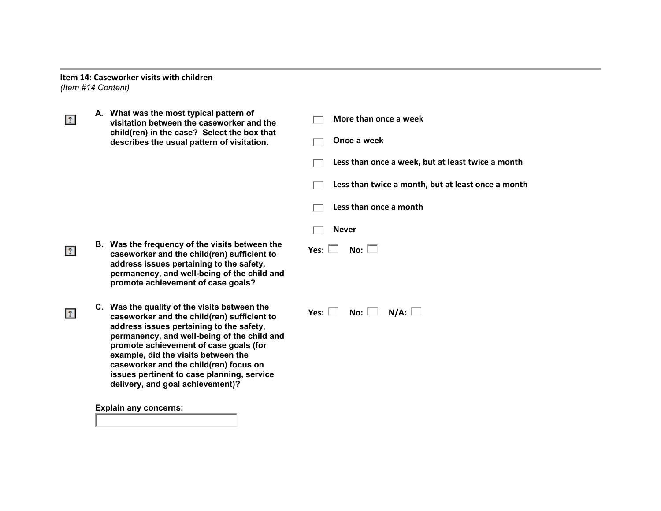**Item 14: Caseworker visits with children** *(Item #14 Content)*

**A. What was the most typical pattern of**   $|2\rangle$ **More than once a week visitation between the caseworker and the child(ren) in the case? Select the box that Once a week describes the usual pattern of visitation.**  $\Box$ **Less than once a week, but at least twice a month Less than twice a month, but at least once a month Less than once a month** г **Never** ┍ **B. Was the frequency of the visits between the**   $Y$ es:  $\Box$  No:  $\Box$  $|2\rangle$ **caseworker and the child(ren) sufficient to address issues pertaining to the safety, permanency, and well-being of the child and promote achievement of case goals? C. Was the quality of the visits between the**   $Yes: \Box \quad No: \Box \quad N/A: \Box$  $|2\rangle$ **caseworker and the child(ren) sufficient to address issues pertaining to the safety, permanency, and well-being of the child and promote achievement of case goals (for example, did the visits between the caseworker and the child(ren) focus on issues pertinent to case planning, service delivery, and goal achievement)? Explain any concerns:**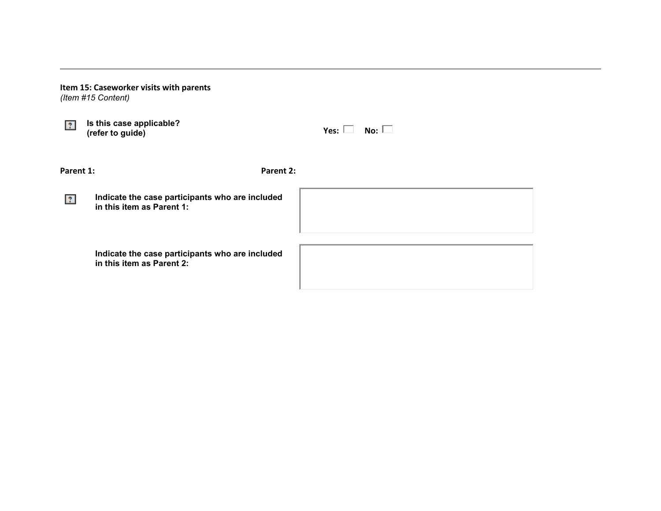|                | Item 15: Caseworker visits with parents<br>(Item #15 Content)                |                              |  |
|----------------|------------------------------------------------------------------------------|------------------------------|--|
| $\overline{?}$ | Is this case applicable?<br>(refer to guide)                                 | No: $\square$<br>Yes: $\Box$ |  |
| Parent 1:      |                                                                              | Parent 2:                    |  |
| $\mathbf{?}$   | Indicate the case participants who are included<br>in this item as Parent 1: |                              |  |
|                | Indicate the case participants who are included<br>in this item as Parent 2: |                              |  |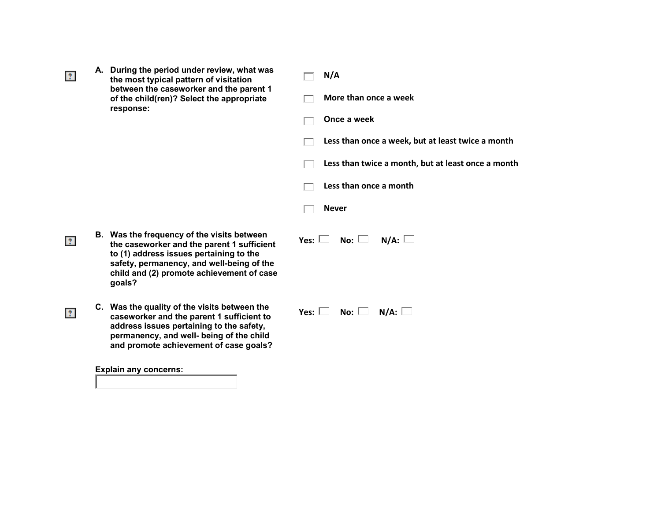| A. During the period under review, what was |
|---------------------------------------------|
| the most typical pattern of visitation      |
| between the caseworker and the parent 1     |
| of the child(ren)? Select the appropriate   |
| response:                                   |

 $|2\rangle$ 

 $\overline{?}$ 

 $\overline{?}$ 

#### **N/A**  $\Box$

**More than once a week**

|  |  | Once a week |
|--|--|-------------|
|--|--|-------------|

**Less than once a week, but at least twice a month**   $\Box$ 

**Less than twice a month, but at least once a month**  $\Box$ 

**Less than once a month**  $\Box$ 

 $\Box$ **Never**

- **B. Was the frequency of the visits between the caseworker and the parent 1 sufficient to (1) address issues pertaining to the safety, permanency, and well-being of the child and (2) promote achievement of case goals?** 
	- **C. Was the quality of the visits between the caseworker and the parent 1 sufficient to address issues pertaining to the safety, permanency, and well- being of the child and promote achievement of case goals?**

**Explain any concerns:** 

 $Yes: \Box \quad No: \Box \quad N/A: \Box$ 

 $Yes: \Box \quad No: \Box \quad N/A: \Box$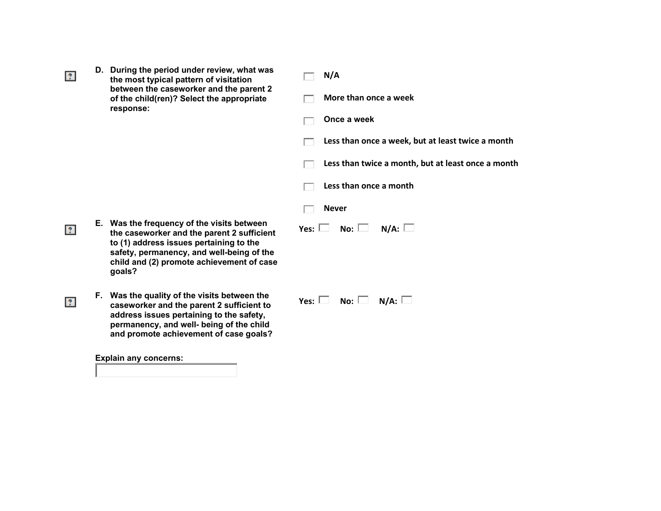**D. During the period under review, what was the most typical pattern of visitation between the caseworker and the parent 2 of the child(ren)? Select the appropriate response:**

 $|2\rangle$ 

 $|2\rangle$ 

 $\overline{?}$ 

#### **N/A**  $\Box$

┍

**More than once a week**

**Once a week**

**Less than once a week, but at least twice a month**   $\Box$ 

**Less than twice a month, but at least once a month**

**Less than once a month** ┍

 $Yes: \Box \quad No: \Box \quad N/A: \Box$ 

- **Never** г
- **E. Was the frequency of the visits between the caseworker and the parent 2 sufficient to (1) address issues pertaining to the safety, permanency, and well-being of the child and (2) promote achievement of case goals?**
- **F. Was the quality of the visits between the caseworker and the parent 2 sufficient to**

**address issues pertaining to the safety, permanency, and well- being of the child and promote achievement of case goals?** 

**Explain any concerns:** 

| Yes: $L$ | No: | N/A: |  |
|----------|-----|------|--|
|----------|-----|------|--|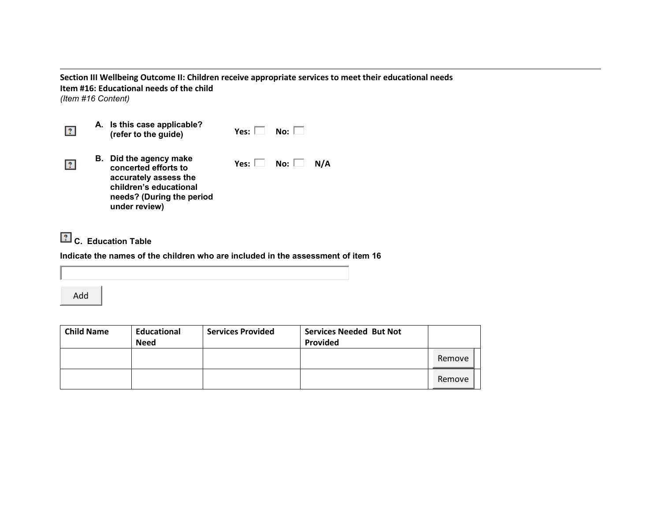**Section III Wellbeing Outcome II: Children receive appropriate services to meet their educational needs Item #16: Educational needs of the child** *(Item #16 Content)*

| 2            | A. Is this case applicable?<br>(refer to the guide)                                                                                                    | Yes: $\Box$            | $No:$ $\Box$ |     |
|--------------|--------------------------------------------------------------------------------------------------------------------------------------------------------|------------------------|--------------|-----|
| $\mathbf{?}$ | <b>B.</b> Did the agency make<br>concerted efforts to<br>accurately assess the<br>children's educational<br>needs? (During the period<br>under review) | Yes: $\Box$ No: $\Box$ |              | N/A |

**C. Education Table**

**Indicate the names of the children who are included in the assessment of item 16**

Add

| <b>Child Name</b> | Educational<br><b>Need</b> | <b>Services Provided</b> | <b>Services Needed But Not</b><br>Provided |        |
|-------------------|----------------------------|--------------------------|--------------------------------------------|--------|
|                   |                            |                          |                                            | Remove |
|                   |                            |                          |                                            | Remove |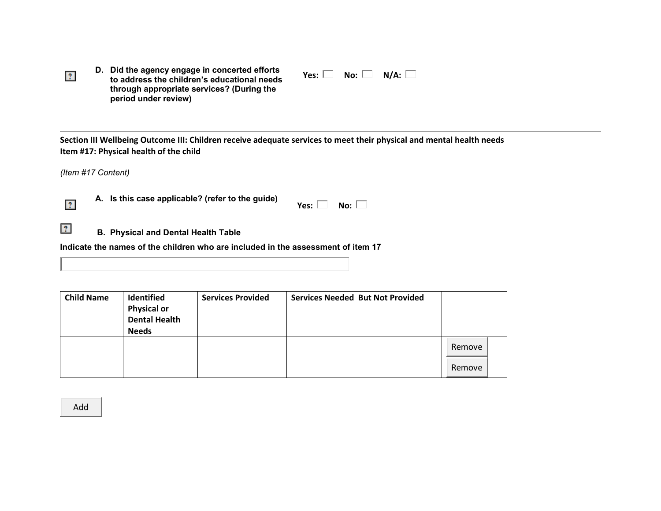**D. Did the agency engage in concerted efforts to address the children's educational needs through appropriate services? (During the period under review)**

 $Yes: \Box \quad No: \Box \quad N/A: \Box$ 

**Section III Wellbeing Outcome III: Children receive adequate services to meet their physical and mental health needs Item #17: Physical health of the child**

*(Item #17 Content)*

 $|2\rangle$ 

**A.** Is this case applicable? (refer to the guide)  $Y$ es:  $\Box$  No:  $\Box$ 

**B.** Physical and Dental Health Table

**Indicate the names of the children who are included in the assessment of item 17**

| <b>Child Name</b> | Identified<br><b>Physical or<br/>Dental Health</b><br><b>Needs</b> | <b>Services Provided</b> | <b>Services Needed But Not Provided</b> |        |  |
|-------------------|--------------------------------------------------------------------|--------------------------|-----------------------------------------|--------|--|
|                   |                                                                    |                          |                                         | Remove |  |
|                   |                                                                    |                          |                                         | Remove |  |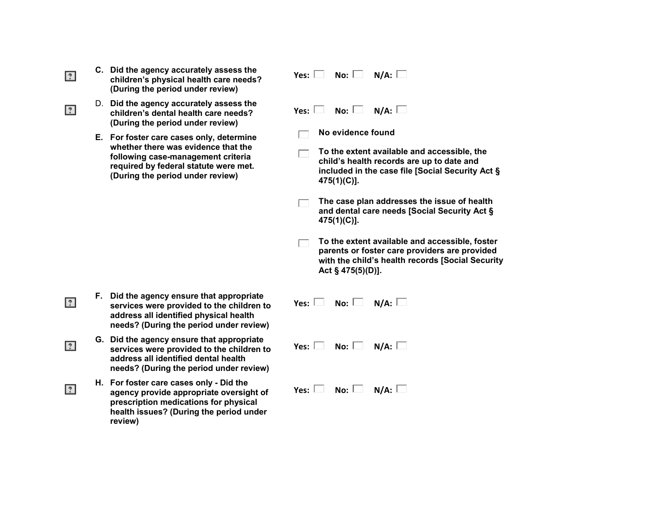**C. Did the agency accurately assess the children's physical health care needs? (During the period under review)** 

 $|2\rangle$ 

 $|2\rangle$ 

 $|2\rangle$ 

 $|2\rangle$ 

 $|2\rangle$ 

- D. **Did the agency accurately assess the children's dental health care needs? (During the period under review)**
- **E. For foster care cases only, determine whether there was evidence that the following case-management criteria required by federal statute were met. (During the period under review)**

- **F. Did the agency ensure that appropriate services were provided to the children to address all identified physical health needs? (During the period under review)**
- **G. Did the agency ensure that appropriate services were provided to the children to address all identified dental health needs? (During the period under review)**
- **H. For foster care cases only - Did the agency provide appropriate oversight of prescription medications for physical health issues? (During the period under review)**

|  | $Yes: \Box \quad No: \Box \quad N/A: \Box$ |  |
|--|--------------------------------------------|--|

 $Yes: \Box \quad No: \Box \quad N/A: \Box$ 

- **No evidence found**
- **To the extent available and accessible, the child's health records are up to date and included in the case file [Social Security Act § 475(1)(C)].**
- **The case plan addresses the issue of health and dental care needs [Social Security Act § 475(1)(C)].**
- **To the extent available and accessible, foster parents or foster care providers are provided with the child's health records [Social Security Act § 475(5)(D)].**

|  | Yes: $\Box$ No: $\Box$ N/A: $\Box$ |
|--|------------------------------------|
|  | Yes: $\Box$ No: $\Box$ N/A: $\Box$ |
|  | Yes: $\Box$ No: $\Box$ N/A: $\Box$ |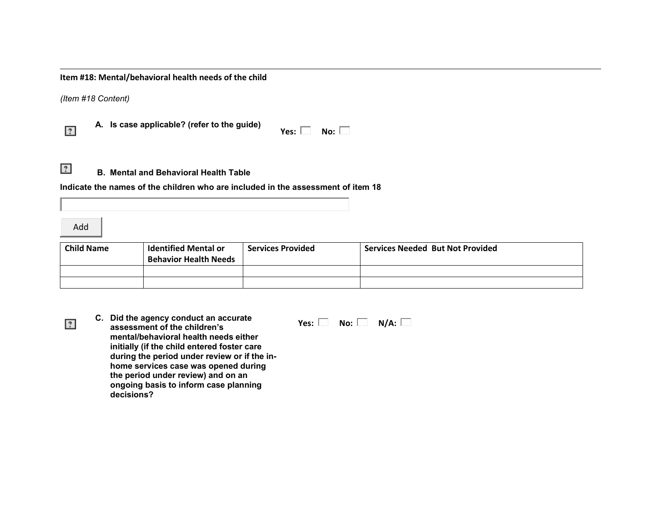**Item #18: Mental/behavioral health needs of the child**

*(Item #18 Content)*

**A. Is case applicable? (refer to the guide) Yes: No:** 

| No:<br>۹ |  |
|----------|--|
|----------|--|



**B. Mental and Behavioral Health Table**

**Indicate the names of the children who are included in the assessment of item 18**

Add

 $\overline{?}$ 

| <b>Child Name</b> | <b>Identified Mental or</b><br><b>Behavior Health Needs</b> | <b>Services Provided</b> | <b>Services Needed But Not Provided</b> |
|-------------------|-------------------------------------------------------------|--------------------------|-----------------------------------------|
|                   |                                                             |                          |                                         |
|                   |                                                             |                          |                                         |

**C. Did the agency conduct an accurate assessment of the children's mental/behavioral health needs either initially (if the child entered foster care during the period under review or if the inhome services case was opened during the period under review) and on an ongoing basis to inform case planning decisions?** 

 $Yes: \Box \quad No: \Box \quad N/A: \Box$